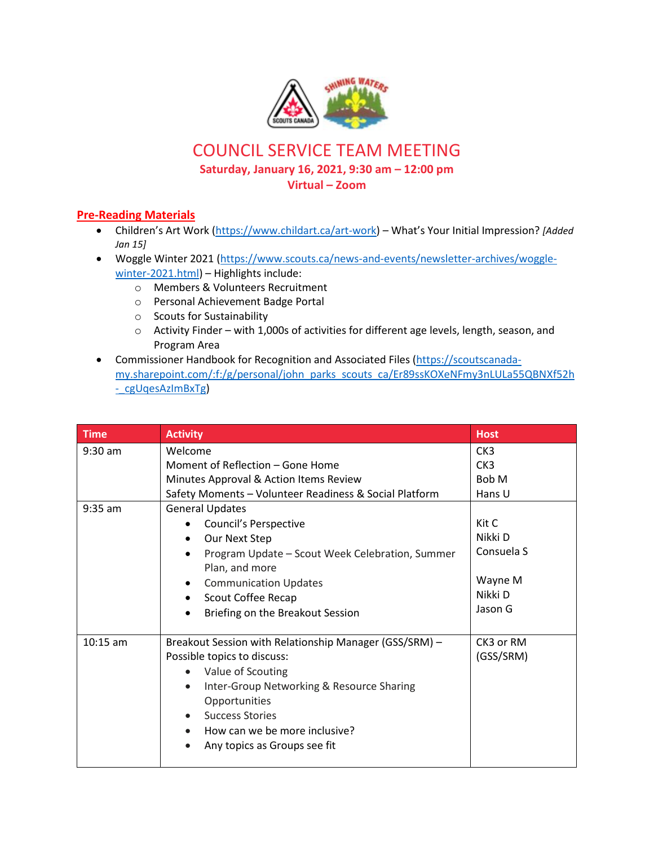

## COUNCIL SERVICE TEAM MEETING

**Saturday, January 16, 2021, 9:30 am – 12:00 pm**

**Virtual – Zoom**

## **Pre-Reading Materials**

- Children's Art Work ([https://www.childart.ca/art-work\)](https://www.childart.ca/art-work) What's Your Initial Impression? *[Added Jan 15]*
- Woggle Winter 2021 [\(https://www.scouts.ca/news-and-events/newsletter-archives/woggle](https://www.scouts.ca/news-and-events/newsletter-archives/woggle-winter-2021.html)[winter-2021.html\)](https://www.scouts.ca/news-and-events/newsletter-archives/woggle-winter-2021.html) - Highlights include:
	- o Members & Volunteers Recruitment
	- o Personal Achievement Badge Portal
	- o Scouts for Sustainability
	- o Activity Finder with 1,000s of activities for different age levels, length, season, and Program Area
- Commissioner Handbook for Recognition and Associated Files [\(https://scoutscanada](https://scoutscanada-my.sharepoint.com/:f:/g/personal/john_parks_scouts_ca/Er89ssKOXeNFmy3nLULa55QBNXf52h-_cgUqesAzImBxTg)[my.sharepoint.com/:f:/g/personal/john\\_parks\\_scouts\\_ca/Er89ssKOXeNFmy3nLULa55QBNXf52h](https://scoutscanada-my.sharepoint.com/:f:/g/personal/john_parks_scouts_ca/Er89ssKOXeNFmy3nLULa55QBNXf52h-_cgUqesAzImBxTg) [-\\_cgUqesAzImBxTg\)](https://scoutscanada-my.sharepoint.com/:f:/g/personal/john_parks_scouts_ca/Er89ssKOXeNFmy3nLULa55QBNXf52h-_cgUqesAzImBxTg)

| <b>Time</b> | <b>Activity</b>                                                   | <b>Host</b>     |
|-------------|-------------------------------------------------------------------|-----------------|
| $9:30$ am   | Welcome                                                           | CK <sub>3</sub> |
|             | Moment of Reflection – Gone Home                                  | CK <sub>3</sub> |
|             | Minutes Approval & Action Items Review                            | Bob M           |
|             | Safety Moments - Volunteer Readiness & Social Platform            | Hans U          |
| $9:35$ am   | <b>General Updates</b>                                            |                 |
|             | Council's Perspective                                             | Kit C           |
|             | Our Next Step                                                     | Nikki D         |
|             | Program Update - Scout Week Celebration, Summer<br>Plan, and more | Consuela S      |
|             | <b>Communication Updates</b><br>$\bullet$                         | Wayne M         |
|             | Scout Coffee Recap<br>٠                                           | Nikki D         |
|             | Briefing on the Breakout Session                                  | Jason G         |
|             |                                                                   |                 |
| $10:15$ am  | Breakout Session with Relationship Manager (GSS/SRM) -            | CK3 or RM       |
|             | Possible topics to discuss:                                       | (GSS/SRM)       |
|             | Value of Scouting                                                 |                 |
|             | Inter-Group Networking & Resource Sharing<br>$\bullet$            |                 |
|             | Opportunities                                                     |                 |
|             | <b>Success Stories</b><br>$\bullet$                               |                 |
|             | How can we be more inclusive?                                     |                 |
|             | Any topics as Groups see fit<br>$\bullet$                         |                 |
|             |                                                                   |                 |